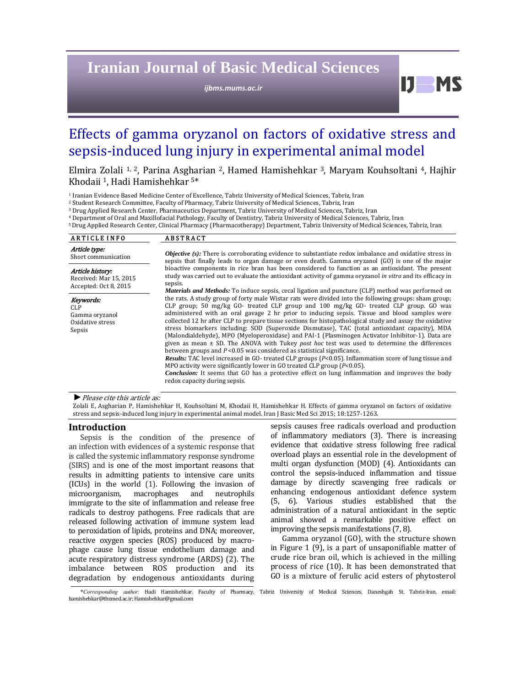# **Iranian Journal of Basic Medical Sciences**

*ijbms.mums.ac.ir*

# Effects of gamma oryzanol on factors of oxidative stress and sepsis-induced lung injury in experimental animal model

Elmira Zolali <sup>1, 2</sup>, Parina Asgharian <sup>2</sup>, Hamed Hamishehkar <sup>3</sup>, Maryam Kouhsoltani <sup>4</sup>, Hajhir Khodaii<sup>1</sup>, Hadi Hamishehkar<sup>5\*</sup>

<sup>1</sup> Iranian Evidence Based Medicine Center of Excellence, Tabriz University of Medical Sciences, Tabriz, Iran

<sup>2</sup> Student Research Committee, Faculty of Pharmacy, Tabriz University of Medical Sciences, Tabriz, Iran

<sup>3</sup> Drug Applied Research Center, Pharmaceutics Department, Tabriz University of Medical Sciences, Tabriz, Iran

<sup>4</sup> Department of Oral and Maxillofacial Pathology, Faculty of Dentistry, Tabriz University of Medical Sciences, Tabriz, Iran

<sup>5</sup> Drug Applied Research Center, Clinical Pharmacy (Pharmacotherapy) Department, Tabriz University of Medical Sciences, Tabriz, Iran

| <b>ARTICLE INFO</b>                                                 | <b>ABSTRACT</b>                                                                                                                                                                                                                                                                                                                                                                                                                                                                                                                                                                                                                                                                                                                                                                                                                                                                                                                                                                                                                                                                                                                                                                                                                                                                                                                                                                                                                                                                                                                                                                                                                                                                                             |
|---------------------------------------------------------------------|-------------------------------------------------------------------------------------------------------------------------------------------------------------------------------------------------------------------------------------------------------------------------------------------------------------------------------------------------------------------------------------------------------------------------------------------------------------------------------------------------------------------------------------------------------------------------------------------------------------------------------------------------------------------------------------------------------------------------------------------------------------------------------------------------------------------------------------------------------------------------------------------------------------------------------------------------------------------------------------------------------------------------------------------------------------------------------------------------------------------------------------------------------------------------------------------------------------------------------------------------------------------------------------------------------------------------------------------------------------------------------------------------------------------------------------------------------------------------------------------------------------------------------------------------------------------------------------------------------------------------------------------------------------------------------------------------------------|
| Article type:<br>Short communication                                | <i>Objective (s)</i> : There is corroborating evidence to substantiate redox imbalance and oxidative stress in<br>sepsis that finally leads to organ damage or even death. Gamma oryzanol (GO) is one of the major<br>bioactive components in rice bran has been considered to function as an antioxidant. The present<br>study was carried out to evaluate the antioxidant activity of gamma oryzanol in vitro and its efficacy in<br>sepsis.<br><i>Materials and Methods:</i> To induce sepsis, cecal ligation and puncture (CLP) method was performed on<br>the rats. A study group of forty male Wistar rats were divided into the following groups: sham group;<br>CLP group; 50 mg/kg GO- treated CLP group and 100 mg/kg GO- treated CLP group. GO was<br>administered with an oral gavage 2 hr prior to inducing sepsis. Tissue and blood samples were<br>collected 12 hr after CLP to prepare tissue sections for histopathological study and assay the oxidative<br>stress biomarkers including: SOD (Superoxide Dismutase), TAC (total antioxidant capacity), MDA<br>(Malondialdehyde), MPO (Myeloperoxidase) and PAI-1 (Plasminogen Activator Inhibitor-1). Data are<br>given as mean $\pm$ SD. The ANOVA with Tukey post hoc test was used to determine the differences<br>between groups and $P < 0.05$ was considered as statistical significance.<br><b>Results:</b> TAC level increased in GO- treated CLP groups (P<0.05). Inflammation score of lung tissue and<br>MPO activity were significantly lower in GO treated CLP group $(P<0.05)$ .<br><b>Conclusion:</b> It seems that GO has a protective effect on lung inflammation and improves the body<br>redox capacity during sepsis. |
| Article history:<br>Received: Mar 15, 2015<br>Accepted: Oct 8, 2015 |                                                                                                                                                                                                                                                                                                                                                                                                                                                                                                                                                                                                                                                                                                                                                                                                                                                                                                                                                                                                                                                                                                                                                                                                                                                                                                                                                                                                                                                                                                                                                                                                                                                                                                             |
| Keywords:<br>CLP<br>Gamma oryzanol<br>Oxidative stress<br>Sepsis    |                                                                                                                                                                                                                                                                                                                                                                                                                                                                                                                                                                                                                                                                                                                                                                                                                                                                                                                                                                                                                                                                                                                                                                                                                                                                                                                                                                                                                                                                                                                                                                                                                                                                                                             |

▶ *Please cite this article as:* 

Zolali E, Asgharian P, Hamishehkar H, Kouhsoltani M, Khodaii H, Hamishehkar H. Effects of gamma oryzanol on factors of oxidative stress and sepsis-induced lung injury in experimental animal model. Iran J Basic Med Sci 2015; 18:1257-1263.

## **Introduction**

Sepsis is the condition of the presence of an infection with evidences of a systemic response that is called the systemic inflammatory response syndrome (SIRS) and is one of the most important reasons that results in admitting patients to intensive care units  $(ICUs)$  in the world  $(1)$ . Following the invasion of microorganism, macrophages and neutrophils immigrate to the site of inflammation and release free radicals to destroy pathogens. Free radicals that are released following activation of immune system lead to peroxidation of lipids, proteins and DNA; moreover, reactive oxygen species (ROS) produced by macrophage cause lung tissue endothelium damage and acute respiratory distress syndrome (ARDS) (2). The imbalance between ROS production and its degradation by endogenous antioxidants during 

sepsis causes free radicals overload and production of inflammatory mediators (3). There is increasing evidence that oxidative stress following free radical overload plays an essential role in the development of multi organ dysfunction (MOD) (4). Antioxidants can control the sepsis-induced inflammation and tissue damage by directly scavenging free radicals or enhancing endogenous antioxidant defence system (5, 6). Various studies established that the administration of a natural antioxidant in the septic animal showed a remarkable positive effect on improving the sepsis manifestations  $(7, 8)$ .

 $IJ$  MS

Gamma oryzanol (GO), with the structure shown in Figure  $1$  (9), is a part of unsaponifiable matter of crude rice bran oil, which is achieved in the milling process of rice (10). It has been demonstrated that GO is a mixture of ferulic acid esters of phytosterol

 $\overline{\phantom{a}}$ \*Corresponding author: Hadi Hamishehkar. Faculty of Pharmacy, Tabriz University of Medical Sciences, Daneshgah St. Tabriz-Iran. email: hamishehkar@tbzmed.ac.ir; Hamishehkar@gmail.com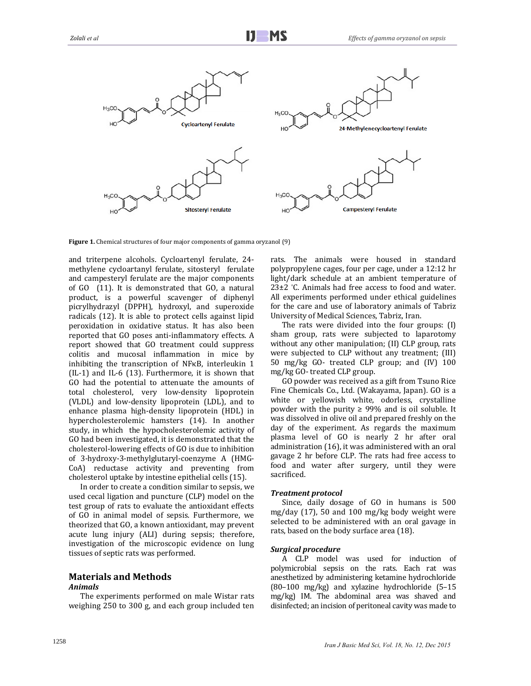

**Figure 1.** Chemical structures of four major components of gamma oryzanol (9)

and triterpene alcohols. Cycloartenyl ferulate, 24methylene cycloartanyl ferulate, sitosteryl ferulate and campesteryl ferulate are the major components of  $GO$  (11). It is demonstrated that  $GO$ , a natural product, is a powerful scavenger of diphenyl picrylhydrazyl (DPPH), hydroxyl, and superoxide radicals (12). It is able to protect cells against lipid peroxidation in oxidative status. It has also been reported that GO poses anti-inflammatory effects. A report showed that GO treatment could suppress colitis and mucosal inflammation in mice by inhibiting the transcription of  $NFRB$ , interleukin 1  $(IL-1)$  and IL-6  $(13)$ . Furthermore, it is shown that GO had the potential to attenuate the amounts of total cholesterol, very low-density lipoprotein (VLDL) and low-density lipoprotein (LDL), and to enhance plasma high-density lipoprotein (HDL) in hypercholesterolemic hamsters (14). In another study, in which the hypocholesterolemic activity of GO had been investigated, it is demonstrated that the cholesterol-lowering effects of GO is due to inhibition of 3‐hydroxy‐3‐methylglutaryl‐coenzyme A (HMG‐ CoA) reductase activity and preventing from cholesterol uptake by intestine epithelial cells (15).

In order to create a condition similar to sepsis, we used cecal ligation and puncture (CLP) model on the test group of rats to evaluate the antioxidant effects of GO in animal model of sepsis. Furthermore, we theorized that GO, a known antioxidant, may prevent acute lung injury (ALI) during sepsis; therefore, investigation of the microscopic evidence on lung tissues of septic rats was performed.

# **Materials and Methods**

## *Animals*

The experiments performed on male Wistar rats weighing 250 to 300 g, and each group included ten

rats. The animals were housed in standard polypropylene cages, four per cage, under a 12:12 hr light/dark schedule at an ambient temperature of 23<sup>+2</sup> °C. Animals had free access to food and water. All experiments performed under ethical guidelines for the care and use of laboratory animals of Tabriz University of Medical Sciences, Tabriz, Iran.

The rats were divided into the four groups:  $(I)$ sham group, rats were subjected to laparotomy without any other manipulation; (II) CLP group, rats were subjected to CLP without any treatment; (III) 50 mg/kg GO- treated CLP group; and (IV) 100 mg/kg GO-treated CLP group.

GO powder was received as a gift from Tsuno Rice Fine Chemicals Co., Ltd. (Wakayama, Japan). GO is a white or yellowish white, odorless, crystalline powder with the purity  $\geq$  99% and is oil soluble. It was dissolved in olive oil and prepared freshly on the day of the experiment. As regards the maximum plasma level of GO is nearly 2 hr after oral administration (16), it was administered with an oral gavage 2 hr before CLP. The rats had free access to food and water after surgery, until they were sacrificed. 

## *Treatment protocol*

Since, daily dosage of GO in humans is 500 mg/day  $(17)$ , 50 and 100 mg/kg body weight were selected to be administered with an oral gavage in rats, based on the body surface area (18).

# *Surgical procedure*

A CLP model was used for induction of polymicrobial sepsis on the rats. Each rat was anesthetized by administering ketamine hydrochloride  $(80-100 \text{ mg/kg})$  and xylazine hydrochloride  $(5-15)$ mg/kg) IM. The abdominal area was shaved and disinfected; an incision of peritoneal cavity was made to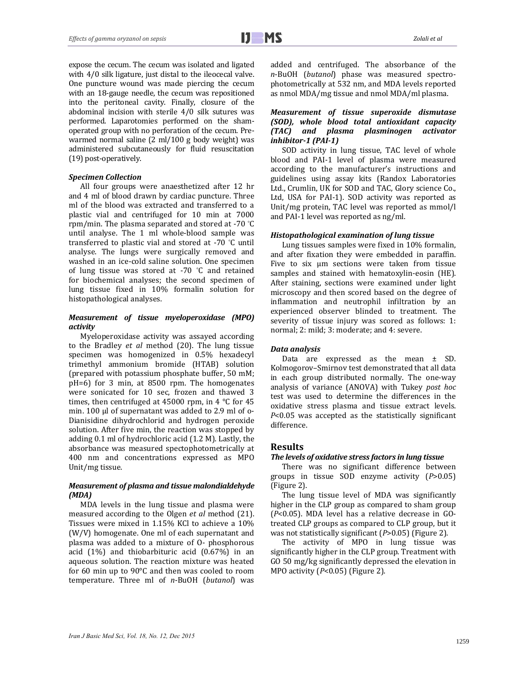expose the cecum. The cecum was isolated and ligated with  $4/0$  silk ligature, just distal to the ileocecal valve. One puncture wound was made piercing the cecum with an 18-gauge needle, the cecum was repositioned into the peritoneal cavity. Finally, closure of the abdominal incision with sterile  $4/0$  silk sutures was performed. Laparotomies performed on the shamoperated group with no perforation of the cecum. Prewarmed normal saline  $(2 \text{ ml}/100 \text{ g}$  body weight) was administered subcutaneously for fluid resuscitation (19) post-operatively.

## *Specimen Collection*

All four groups were anaesthetized after 12 hr and 4 ml of blood drawn by cardiac puncture. Three ml of the blood was extracted and transferred to a plastic vial and centrifuged for 10 min at 7000 rpm/min. The plasma separated and stored at -70  $°C$ until analyse. The 1 ml whole-blood sample was transferred to plastic vial and stored at -70 °C until analyse. The lungs were surgically removed and washed in an ice-cold saline solution. One specimen of lung tissue was stored at -70  $\degree$ C and retained samp for biochemical analyses; the second specimen of lung tissue fixed in 10% formalin solution for histopathological analyses.

## *Measurement of tissue myeloperoxidase (MPO) activity*

Myeloperoxidase activity was assayed according to the Bradley *et al* method (20). The lung tissue specimen was homogenized in 0.5% hexadecyl trimethyl ammonium bromide (HTAB) solution (prepared with potassium phosphate buffer, 50 mM; pH=6) for 3 min, at 8500 rpm. The homogenates were sonicated for 10 sec, frozen and thawed 3 times, then centrifuged at 45000 rpm, in 4  $\degree$ C for 45 min. 100 μl of supernatant was added to 2.9 ml of o-Dianisidine dihydrochlorid and hydrogen peroxide solution. After five min, the reaction was stopped by adding 0.1 ml of hydrochloric acid (1.2 M). Lastly, the absorbance was measured spectophotometrically at 400 nm and concentrations expressed as MPO Unit/mg tissue.

## *Measurement of plasma and tissue malondialdehyde (MDA)*

MDA levels in the lung tissue and plasma were measured according to the Olgen *et al* method (21). Tissues were mixed in 1.15% KCl to achieve a 10% (W/V) homogenate. One ml of each supernatant and plasma was added to a mixture of O- phosphorous acid  $(1\%)$  and thiobarbituric acid  $(0.67\%)$  in an aqueous solution. The reaction mixture was heated for  $60$  min up to  $90^{\circ}$ C and then was cooled to room temperature. Three ml of *n*-BuOH (butanol) was added and centrifuged. The absorbance of the n-BuOH (butanol) phase was measured spectrophotometrically at 532 nm, and MDA levels reported as nmol MDA/mg tissue and nmol MDA/ml plasma.

## *Measurement of tissue superoxide dismutase (SOD), whole blood total antioxidant capacity (TAC) and plasma plasminogen activator inhibitor‐1 (PAI‐1)*

SOD activity in lung tissue, TAC level of whole blood and PAI-1 level of plasma were measured according to the manufacturer's instructions and guidelines using assay kits (Randox Laboratories Ltd., Crumlin, UK for SOD and TAC, Glory science Co., Ltd, USA for PAI-1). SOD activity was reported as Unit/mg protein, TAC level was reported as mmol/l and PAI-1 level was reported as ng/ml.

# *Histopathological examination of lung tissue*

Lung tissues samples were fixed in 10% formalin, and after fixation they were embedded in paraffin. Five to six  $\mu$ m sections were taken from tissue samples and stained with hematoxylin-eosin (HE). After staining, sections were examined under light microscopy and then scored based on the degree of inflammation and neutrophil infiltration by an experienced observer blinded to treatment. The severity of tissue injury was scored as follows: 1: normal; 2: mild; 3: moderate; and 4: severe.

#### *Data analysis*

Data are expressed as the mean  $\pm$  SD. Kolmogorov–Smirnov test demonstrated that all data in each group distributed normally. The one-way analysis of variance (ANOVA) with Tukey *post hoc* test was used to determine the differences in the oxidative stress plasma and tissue extract levels. *P*<0.05 was accepted as the statistically significant difference. 

# **Results**

#### *The levels of oxidative stress factors in lung tissue*

There was no significant difference between groups in tissue SOD enzyme activity (*P*>0.05) (Figure 2).

The lung tissue level of MDA was significantly higher in the CLP group as compared to sham group  $(P<0.05)$ . MDA level has a relative decrease in GOtreated CLP groups as compared to CLP group, but it was not statistically significant (*P*>0.05) (Figure 2).

The activity of MPO in lung tissue was significantly higher in the CLP group. Treatment with GO 50 mg/kg significantly depressed the elevation in MPO activity (P<0.05) (Figure 2).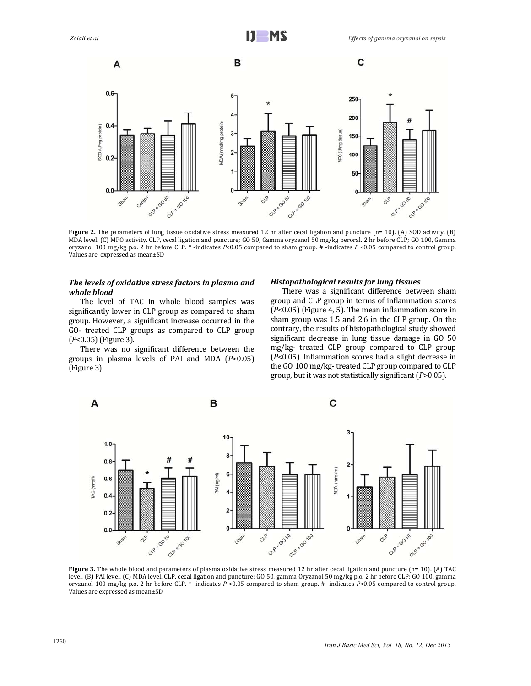

**Figure** 2. The parameters of lung tissue oxidative stress measured 12 hr after cecal ligation and puncture (n= 10). (A) SOD activity. (B) MDA level. (C) MPO activity. CLP, cecal ligation and puncture; GO 50, Gamma oryzanol 50 mg/kg peroral. 2 hr before CLP; GO 100, Gamma oryzanol 100 mg/kg p.o. 2 hr before CLP. \* -indicates *P*<0.05 compared to sham group. # -indicates *P* <0.05 compared to control group. Values are expressed as mean±SD

## *The levels of oxidative stress factors in plasma and whole blood*

The level of TAC in whole blood samples was significantly lower in CLP group as compared to sham group. However, a significant increase occurred in the GO- treated CLP groups as compared to CLP group (*P*<0.05) (Figure 3).

There was no significant difference between the groups in plasma levels of PAI and MDA (*P*>0.05) (Figure 3).

## *Histopathological results for lung tissues*

There was a significant difference between sham group and CLP group in terms of inflammation scores  $(P<0.05)$  (Figure 4, 5). The mean inflammation score in sham group was 1.5 and 2.6 in the CLP group. On the contrary, the results of histopathological study showed significant decrease in lung tissue damage in GO 50 mg/kg- treated CLP group compared to CLP group  $(P<0.05)$ . Inflammation scores had a slight decrease in the GO 100 mg/kg-treated CLP group compared to CLP group, but it was not statistically significant (P>0.05).



**Figure** 3. The whole blood and parameters of plasma oxidative stress measured 12 hr after cecal ligation and puncture (n= 10). (A) TAC level. (B) PAI level. (C) MDA level. CLP, cecal ligation and puncture; GO 50, gamma Oryzanol 50 mg/kg p.o. 2 hr before CLP; GO 100, gamma oryzanol 100 mg/kg p.o. 2 hr before CLP. \* -indicates  $P \le 0.05$  compared to sham group. # -indicates  $P \le 0.05$  compared to control group. Values are expressed as mean±SD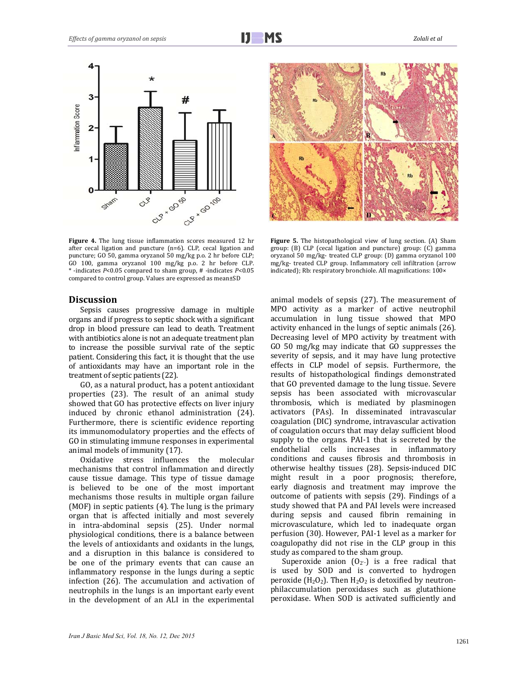

**Figure 4.** The lung tissue inflammation scores measured 12 hr after cecal ligation and puncture (n=6). CLP, cecal ligation and puncture; GO 50, gamma oryzanol 50 mg/kg p.o. 2 hr before CLP; GO 100, gamma oryzanol 100 mg/kg p.o. 2 hr before CLP. \* ‐indicates *P*<0.05 compared to sham group, # ‐indicates *P*<0.05 compared to control group. Values are expressed as mean±SD

# **Discussion**

Sepsis causes progressive damage in multiple organs and if progress to septic shock with a significant drop in blood pressure can lead to death. Treatment with antibiotics alone is not an adequate treatment plan to increase the possible survival rate of the septic patient. Considering this fact, it is thought that the use of antioxidants may have an important role in the treatment of septic patients (22).

GO, as a natural product, has a potent antioxidant properties (23). The result of an animal study showed that GO has protective effects on liver injury induced by chronic ethanol administration (24). Furthermore, there is scientific evidence reporting its immunomodulatory properties and the effects of GO in stimulating immune responses in experimental animal models of immunity (17).

Oxidative stress influences the molecular mechanisms that control inflammation and directly cause tissue damage. This type of tissue damage is believed to be one of the most important mechanisms those results in multiple organ failure (MOF) in septic patients  $(4)$ . The lung is the primary organ that is affected initially and most severely in intra-abdominal sepsis (25). Under normal physiological conditions, there is a balance between the levels of antioxidants and oxidants in the lungs, and a disruption in this balance is considered to be one of the primary events that can cause an inflammatory response in the lungs during a septic infection  $(26)$ . The accumulation and activation of neutrophils in the lungs is an important early event in the development of an ALI in the experimental 



**Figure** 5. The histopathological view of lung section. (A) Sham group: (B) CLP (cecal ligation and puncture) group: (C) gamma oryzanol 50 mg/kg- treated CLP group: (D) gamma oryzanol 100 mg/kg- treated CLP group. Inflammatory cell infiltration (arrow indicated); Rb: respiratory bronchiole. All magnifications:  $100 \times$ 

animal models of sepsis (27). The measurement of MPO activity as a marker of active neutrophil accumulation in lung tissue showed that MPO activity enhanced in the lungs of septic animals (26). Decreasing level of MPO activity by treatment with GO 50 mg/kg may indicate that GO suppresses the severity of sepsis, and it may have lung protective effects in CLP model of sepsis. Furthermore, the results of histopathological findings demonstrated that GO prevented damage to the lung tissue. Severe sepsis has been associated with microvascular thrombosis, which is mediated by plasminogen activators (PAs). In disseminated intravascular coagulation (DIC) syndrome, intravascular activation of coagulation occurs that may delay sufficient blood supply to the organs. PAI-1 that is secreted by the endothelial cells increases in inflammatory conditions and causes fibrosis and thrombosis in otherwise healthy tissues (28). Sepsis-induced DIC might result in a poor prognosis; therefore, early diagnosis and treatment may improve the outcome of patients with sepsis (29). Findings of a study showed that PA and PAI levels were increased during sepsis and caused fibrin remaining in microvasculature, which led to inadequate organ perfusion (30). However, PAI-1 level as a marker for coagulopathy did not rise in the CLP group in this study as compared to the sham group.

Superoxide anion  $(0<sub>2</sub>$ -) is a free radical that is used by SOD and is converted to hydrogen peroxide ( $H_2O_2$ ). Then  $H_2O_2$  is detoxified by neutronphilaccumulation peroxidases such as glutathione peroxidase. When SOD is activated sufficiently and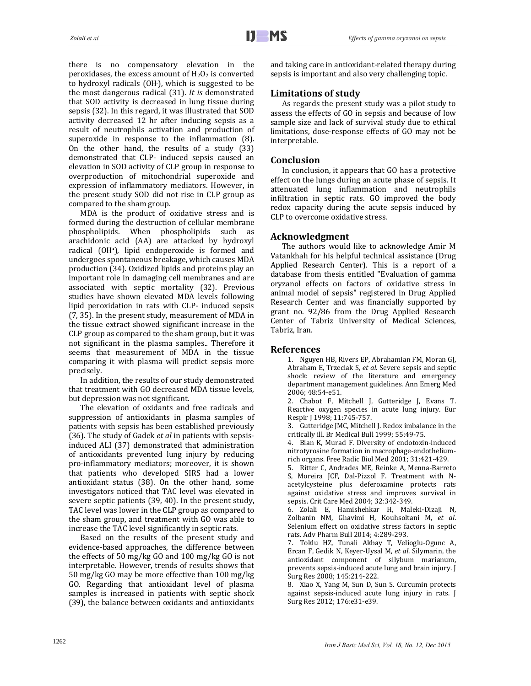there is no compensatory elevation in the peroxidases, the excess amount of  $H_2O_2$  is converted to hydroxyl radicals (OH), which is suggested to be the most dangerous radical (31). It is demonstrated that SOD activity is decreased in lung tissue during sepsis (32). In this regard, it was illustrated that SOD activity decreased 12 hr after inducing sepsis as a result of neutrophils activation and production of superoxide in response to the inflammation  $(8)$ . On the other hand, the results of a study  $(33)$ demonstrated that CLP- induced sepsis caused an elevation in SOD activity of CLP group in response to overproduction of mitochondrial superoxide and expression of inflammatory mediators. However, in the present study SOD did not rise in CLP group as compared to the sham group.

MDA is the product of oxidative stress and is formed during the destruction of cellular membrane phospholipids. When phospholipids such as arachidonic acid (AA) are attacked by hydroxyl radical (OH<sup>·</sup>), lipid endoperoxide is formed and undergoes spontaneous breakage, which causes MDA production (34). Oxidized lipids and proteins play an important role in damaging cell membranes and are associated with septic mortality (32). Previous studies have shown elevated MDA levels following lipid peroxidation in rats with CLP- induced sepsis (7, 35). In the present study, measurement of MDA in the tissue extract showed significant increase in the CLP group as compared to the sham group, but it was not significant in the plasma samples.. Therefore it seems that measurement of MDA in the tissue comparing it with plasma will predict sepsis more precisely. 

In addition, the results of our study demonstrated that treatment with GO decreased MDA tissue levels, but depression was not significant.

The elevation of oxidants and free radicals and suppression of antioxidants in plasma samples of patients with sepsis has been established previously (36). The study of Gadek *et al* in patients with sepsisinduced ALI (37) demonstrated that administration of antioxidants prevented lung injury by reducing pro-inflammatory mediators; moreover, it is shown that patients who developed SIRS had a lower antioxidant status (38). On the other hand, some investigators noticed that TAC level was elevated in severe septic patients  $(39, 40)$ . In the present study, TAC level was lower in the CLP group as compared to the sham group, and treatment with GO was able to increase the TAC level significantly in septic rats.

Based on the results of the present study and evidence-based approaches, the difference between the effects of  $50 \text{ mg/kg}$  GO and  $100 \text{ mg/kg}$  GO is not interpretable. However, trends of results shows that 50 mg/kg GO may be more effective than 100 mg/kg GO. Regarding that antioxidant level of plasma samples is increased in patients with septic shock (39), the balance between oxidants and antioxidants

and taking care in antioxidant-related therapy during sepsis is important and also very challenging topic.

# **Limitations of study**

As regards the present study was a pilot study to assess the effects of GO in sepsis and because of low sample size and lack of survival study due to ethical limitations, dose-response effects of GO may not be interpretable. 

## **Conclusion**

In conclusion, it appears that GO has a protective effect on the lungs during an acute phase of sepsis. It attenuated lung inflammation and neutrophils infiltration in septic rats. GO improved the body redox capacity during the acute sepsis induced by CLP to overcome oxidative stress.

## **Acknowledgment**

The authors would like to acknowledge Amir M Vatankhah for his helpful technical assistance (Drug Applied Research Center). This is a report of a database from thesis entitled "Evaluation of gamma oryzanol effects on factors of oxidative stress in animal model of sepsis" registered in Drug Applied Research Center and was financially supported by grant no. 92/86 from the Drug Applied Research Center of Tabriz University of Medical Sciences, Tabriz, Iran.

## **References**

1. Nguyen HB, Rivers EP, Abrahamian FM, Moran GI, Abraham E, Trzeciak S, et al. Severe sepsis and septic shock: review of the literature and emergency department management guidelines. Ann Emerg Med 2006; 48:54‐e51. 

2. Chabot F, Mitchell J, Gutteridge J, Evans T. Reactive oxygen species in acute lung injury. Eur Respir J 1998; 11:745-757.

3. Gutteridge JMC, Mitchell J. Redox imbalance in the critically ill. Br Medical Bull 1999; 55:49-75.

4. Bian K, Murad F. Diversity of endotoxin-induced nitrotyrosine formation in macrophage-endotheliumrich organs. Free Radic Biol Med 2001; 31:421-429.

5. Ritter C, Andrades ME, Reinke A, Menna-Barreto S, Moreira JCF, Dal-Pizzol F. Treatment with Nacetylcysteine plus deferoxamine protects rats against oxidative stress and improves survival in sepsis. Crit Care Med 2004; 32:342-349.

6. Zolali E, Hamishehkar H, Maleki‐Dizaji N, Zolbanin NM, Ghavimi H, Kouhsoltani M, *et al*. Selenium effect on oxidative stress factors in septic rats. Adv Pharm Bull 2014; 4:289-293.

7. Toklu HZ, Tunali Akbay T, Velioglu-Ogunc A, Ercan F, Gedik N, Keyer-Uysal M, et al. Silymarin, the antioxidant component of silybum marianum, prevents sepsis-induced acute lung and brain injury. J Surg Res 2008; 145:214-222.

8. Xiao X, Yang M, Sun D, Sun S. Curcumin protects against sepsis-induced acute lung injury in rats. J Surg Res 2012; 176:e31-e39.